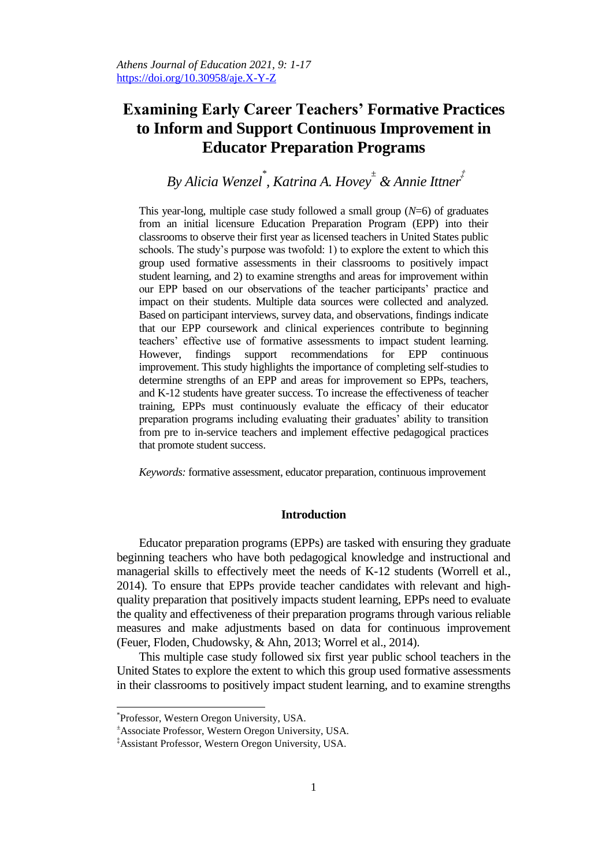# **Examining Early Career Teachers' Formative Practices to Inform and Support Continuous Improvement in Educator Preparation Programs**

*By Alicia Wenzel\* , Katrina A. Hovey ± & Annie Ittner ‡*

This year-long, multiple case study followed a small group  $(N=6)$  of graduates from an initial licensure Education Preparation Program (EPP) into their classrooms to observe their first year as licensed teachers in United States public schools. The study"s purpose was twofold: 1) to explore the extent to which this group used formative assessments in their classrooms to positively impact student learning, and 2) to examine strengths and areas for improvement within our EPP based on our observations of the teacher participants" practice and impact on their students. Multiple data sources were collected and analyzed. Based on participant interviews, survey data, and observations, findings indicate that our EPP coursework and clinical experiences contribute to beginning teachers' effective use of formative assessments to impact student learning.<br>However, findings support recommendations for EPP continuous However, findings support recommendations for EPP continuous improvement. This study highlights the importance of completing self-studies to determine strengths of an EPP and areas for improvement so EPPs, teachers, and K-12 students have greater success. To increase the effectiveness of teacher training, EPPs must continuously evaluate the efficacy of their educator preparation programs including evaluating their graduates" ability to transition from pre to in-service teachers and implement effective pedagogical practices that promote student success.

*Keywords:* formative assessment, educator preparation, continuous improvement

# **Introduction**

Educator preparation programs (EPPs) are tasked with ensuring they graduate beginning teachers who have both pedagogical knowledge and instructional and managerial skills to effectively meet the needs of K-12 students (Worrell et al., 2014). To ensure that EPPs provide teacher candidates with relevant and highquality preparation that positively impacts student learning, EPPs need to evaluate the quality and effectiveness of their preparation programs through various reliable measures and make adjustments based on data for continuous improvement (Feuer, Floden, Chudowsky, & Ahn, 2013; Worrel et al., 2014).

This multiple case study followed six first year public school teachers in the United States to explore the extent to which this group used formative assessments in their classrooms to positively impact student learning, and to examine strengths

<sup>\*</sup> Professor, Western Oregon University, USA.

<sup>±</sup>Associate Professor, Western Oregon University, USA.

<sup>‡</sup>Assistant Professor, Western Oregon University, USA.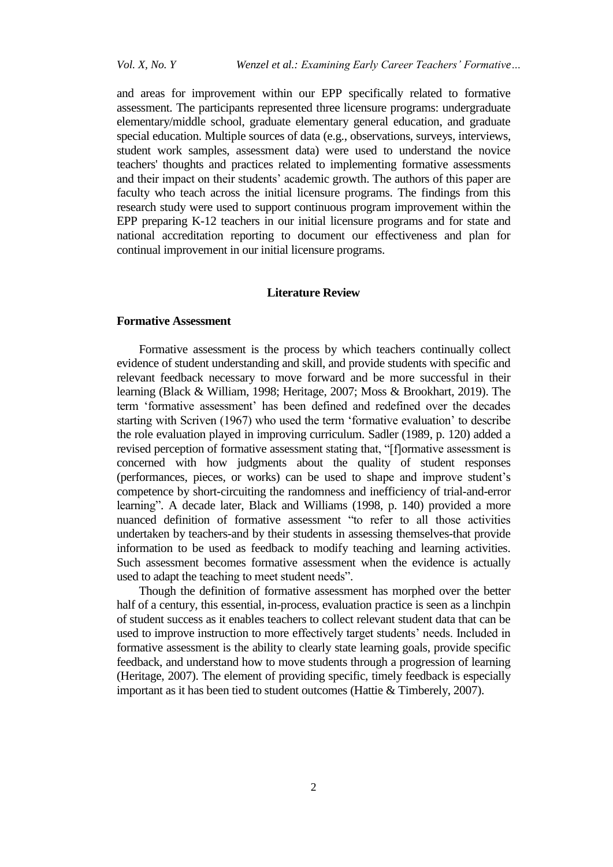and areas for improvement within our EPP specifically related to formative assessment. The participants represented three licensure programs: undergraduate elementary/middle school, graduate elementary general education, and graduate special education. Multiple sources of data (e.g., observations, surveys, interviews, student work samples, assessment data) were used to understand the novice teachers' thoughts and practices related to implementing formative assessments and their impact on their students' academic growth. The authors of this paper are faculty who teach across the initial licensure programs. The findings from this research study were used to support continuous program improvement within the EPP preparing K-12 teachers in our initial licensure programs and for state and national accreditation reporting to document our effectiveness and plan for continual improvement in our initial licensure programs.

## **Literature Review**

## **Formative Assessment**

Formative assessment is the process by which teachers continually collect evidence of student understanding and skill, and provide students with specific and relevant feedback necessary to move forward and be more successful in their learning (Black & William, 1998; Heritage, 2007; Moss & Brookhart, 2019). The term "formative assessment" has been defined and redefined over the decades starting with Scriven (1967) who used the term 'formative evaluation' to describe the role evaluation played in improving curriculum. Sadler (1989, p. 120) added a revised perception of formative assessment stating that, "[f]ormative assessment is concerned with how judgments about the quality of student responses (performances, pieces, or works) can be used to shape and improve student"s competence by short-circuiting the randomness and inefficiency of trial-and-error learning". A decade later, Black and Williams (1998, p. 140) provided a more nuanced definition of formative assessment "to refer to all those activities undertaken by teachers-and by their students in assessing themselves-that provide information to be used as feedback to modify teaching and learning activities. Such assessment becomes formative assessment when the evidence is actually used to adapt the teaching to meet student needs".

Though the definition of formative assessment has morphed over the better half of a century, this essential, in-process, evaluation practice is seen as a linchpin of student success as it enables teachers to collect relevant student data that can be used to improve instruction to more effectively target students' needs. Included in formative assessment is the ability to clearly state learning goals, provide specific feedback, and understand how to move students through a progression of learning (Heritage, 2007). The element of providing specific, timely feedback is especially important as it has been tied to student outcomes (Hattie & Timberely, 2007).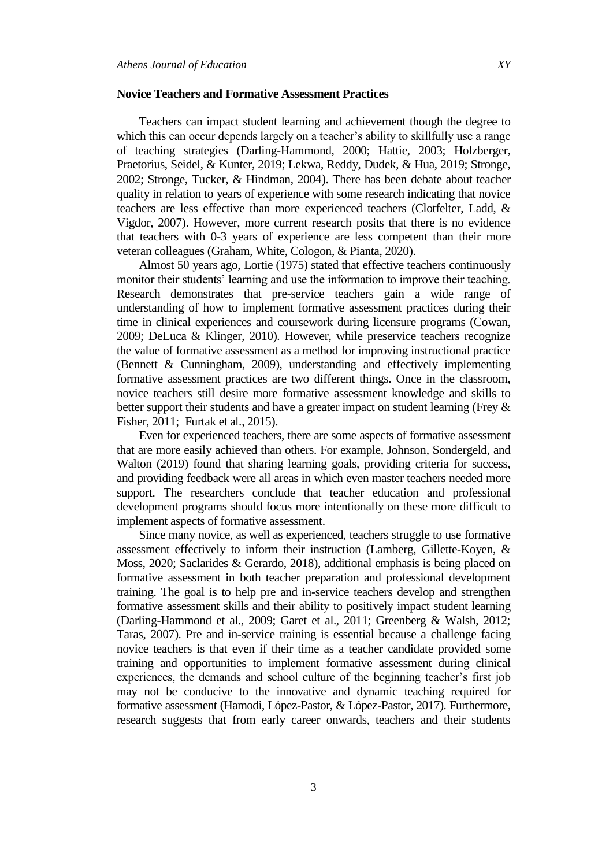## **Novice Teachers and Formative Assessment Practices**

Teachers can impact student learning and achievement though the degree to which this can occur depends largely on a teacher's ability to skillfully use a range of teaching strategies (Darling-Hammond, 2000; Hattie, 2003; Holzberger, Praetorius, Seidel, & Kunter, 2019; Lekwa, Reddy, Dudek, & Hua, 2019; Stronge, 2002; Stronge, Tucker, & Hindman, 2004). There has been debate about teacher quality in relation to years of experience with some research indicating that novice teachers are less effective than more experienced teachers (Clotfelter, Ladd, & Vigdor, 2007). However, more current research posits that there is no evidence that teachers with 0-3 years of experience are less competent than their more veteran colleagues (Graham, White, Cologon, & Pianta, 2020).

Almost 50 years ago, Lortie (1975) stated that effective teachers continuously monitor their students' learning and use the information to improve their teaching. Research demonstrates that pre-service teachers gain a wide range of understanding of how to implement formative assessment practices during their time in clinical experiences and coursework during licensure programs (Cowan, 2009; DeLuca & Klinger, 2010). However, while preservice teachers recognize the value of formative assessment as a method for improving instructional practice (Bennett & Cunningham, 2009), understanding and effectively implementing formative assessment practices are two different things. Once in the classroom, novice teachers still desire more formative assessment knowledge and skills to better support their students and have a greater impact on student learning (Frey & Fisher, 2011; Furtak et al., 2015).

Even for experienced teachers, there are some aspects of formative assessment that are more easily achieved than others. For example, Johnson, Sondergeld, and Walton (2019) found that sharing learning goals, providing criteria for success, and providing feedback were all areas in which even master teachers needed more support. The researchers conclude that teacher education and professional development programs should focus more intentionally on these more difficult to implement aspects of formative assessment.

Since many novice, as well as experienced, teachers struggle to use formative assessment effectively to inform their instruction (Lamberg, Gillette-Koyen, & Moss, 2020; Saclarides & Gerardo, 2018), additional emphasis is being placed on formative assessment in both teacher preparation and professional development training. The goal is to help pre and in-service teachers develop and strengthen formative assessment skills and their ability to positively impact student learning (Darling-Hammond et al., 2009; Garet et al., 2011; Greenberg & Walsh, 2012; Taras, 2007). Pre and in-service training is essential because a challenge facing novice teachers is that even if their time as a teacher candidate provided some training and opportunities to implement formative assessment during clinical experiences, the demands and school culture of the beginning teacher"s first job may not be conducive to the innovative and dynamic teaching required for formative assessment (Hamodi, López-Pastor, & López-Pastor, 2017). Furthermore, research suggests that from early career onwards, teachers and their students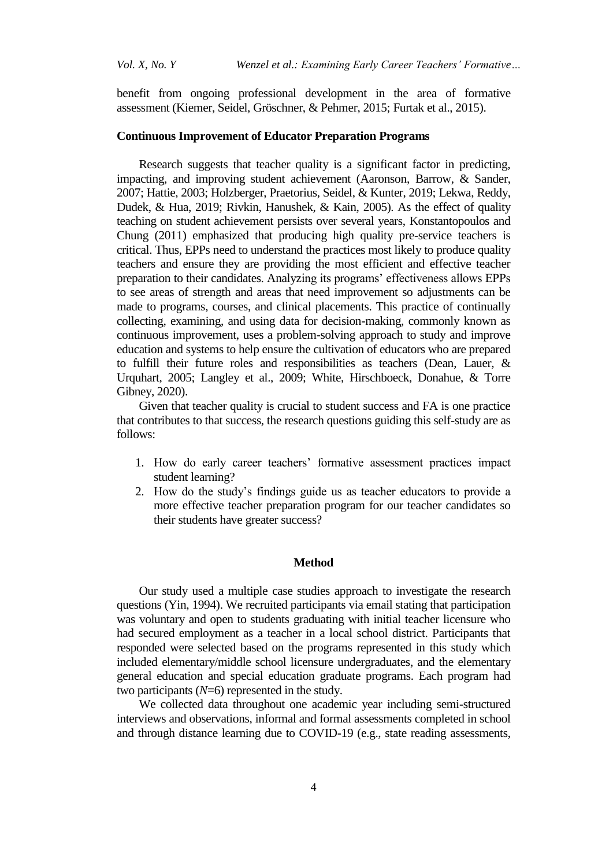benefit from ongoing professional development in the area of formative assessment (Kiemer, Seidel, Gröschner, & Pehmer, 2015; Furtak et al., 2015).

## **Continuous Improvement of Educator Preparation Programs**

Research suggests that teacher quality is a significant factor in predicting, impacting, and improving student achievement (Aaronson, Barrow, & Sander, 2007; Hattie, 2003; Holzberger, Praetorius, Seidel, & Kunter, 2019; Lekwa, Reddy, Dudek, & Hua, 2019; Rivkin, Hanushek, & Kain, 2005). As the effect of quality teaching on student achievement persists over several years, Konstantopoulos and Chung (2011) emphasized that producing high quality pre-service teachers is critical. Thus, EPPs need to understand the practices most likely to produce quality teachers and ensure they are providing the most efficient and effective teacher preparation to their candidates. Analyzing its programs" effectiveness allows EPPs to see areas of strength and areas that need improvement so adjustments can be made to programs, courses, and clinical placements. This practice of continually collecting, examining, and using data for decision-making, commonly known as continuous improvement, uses a problem-solving approach to study and improve education and systems to help ensure the cultivation of educators who are prepared to fulfill their future roles and responsibilities as teachers (Dean, Lauer, & Urquhart, 2005; Langley et al., 2009; White, Hirschboeck, Donahue, & Torre Gibney, 2020).

Given that teacher quality is crucial to student success and FA is one practice that contributes to that success, the research questions guiding this self-study are as follows:

- 1. How do early career teachers" formative assessment practices impact student learning?
- 2. How do the study"s findings guide us as teacher educators to provide a more effective teacher preparation program for our teacher candidates so their students have greater success?

## **Method**

Our study used a multiple case studies approach to investigate the research questions (Yin, 1994). We recruited participants via email stating that participation was voluntary and open to students graduating with initial teacher licensure who had secured employment as a teacher in a local school district. Participants that responded were selected based on the programs represented in this study which included elementary/middle school licensure undergraduates, and the elementary general education and special education graduate programs. Each program had two participants ( $N=6$ ) represented in the study.

We collected data throughout one academic year including semi-structured interviews and observations, informal and formal assessments completed in school and through distance learning due to COVID-19 (e.g., state reading assessments,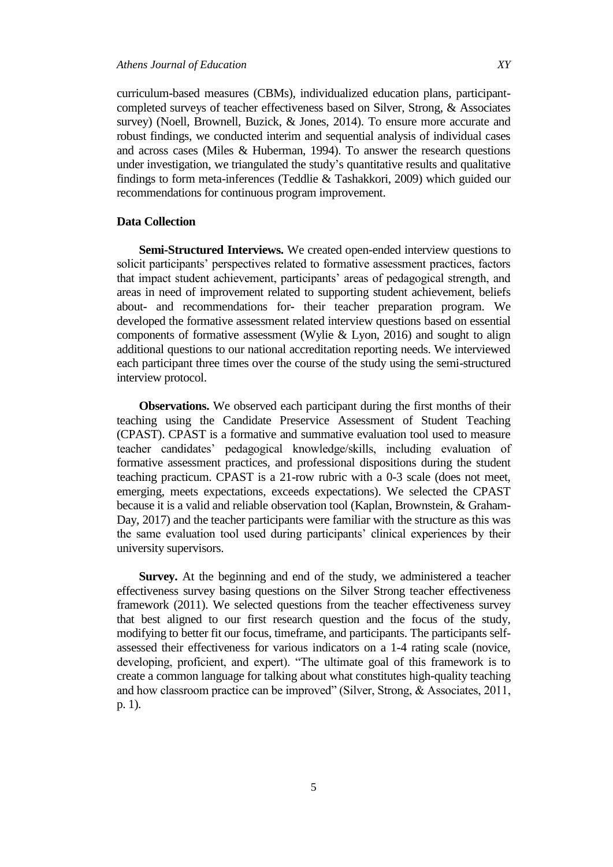curriculum-based measures (CBMs), individualized education plans, participantcompleted surveys of teacher effectiveness based on Silver, Strong, & Associates survey) (Noell, Brownell, Buzick, & Jones, 2014). To ensure more accurate and robust findings, we conducted interim and sequential analysis of individual cases and across cases (Miles & Huberman, 1994). To answer the research questions under investigation, we triangulated the study"s quantitative results and qualitative findings to form meta-inferences (Teddlie & Tashakkori, 2009) which guided our recommendations for continuous program improvement.

# **Data Collection**

**Semi-Structured Interviews.** We created open-ended interview questions to solicit participants' perspectives related to formative assessment practices, factors that impact student achievement, participants' areas of pedagogical strength, and areas in need of improvement related to supporting student achievement, beliefs about- and recommendations for- their teacher preparation program. We developed the formative assessment related interview questions based on essential components of formative assessment (Wylie & Lyon, 2016) and sought to align additional questions to our national accreditation reporting needs. We interviewed each participant three times over the course of the study using the semi-structured interview protocol.

**Observations.** We observed each participant during the first months of their teaching using the Candidate Preservice Assessment of Student Teaching (CPAST). CPAST is a formative and summative evaluation tool used to measure teacher candidates" pedagogical knowledge/skills, including evaluation of formative assessment practices, and professional dispositions during the student teaching practicum. CPAST is a 21-row rubric with a 0-3 scale (does not meet, emerging, meets expectations, exceeds expectations). We selected the CPAST because it is a valid and reliable observation tool (Kaplan, Brownstein, & Graham-Day, 2017) and the teacher participants were familiar with the structure as this was the same evaluation tool used during participants' clinical experiences by their university supervisors.

**Survey.** At the beginning and end of the study, we administered a teacher effectiveness survey basing questions on the Silver Strong teacher effectiveness framework (2011). We selected questions from the teacher effectiveness survey that best aligned to our first research question and the focus of the study, modifying to better fit our focus, timeframe, and participants. The participants selfassessed their effectiveness for various indicators on a 1-4 rating scale (novice, developing, proficient, and expert). "The ultimate goal of this framework is to create a common language for talking about what constitutes high-quality teaching and how classroom practice can be improved" (Silver, Strong, & Associates, 2011, p. 1).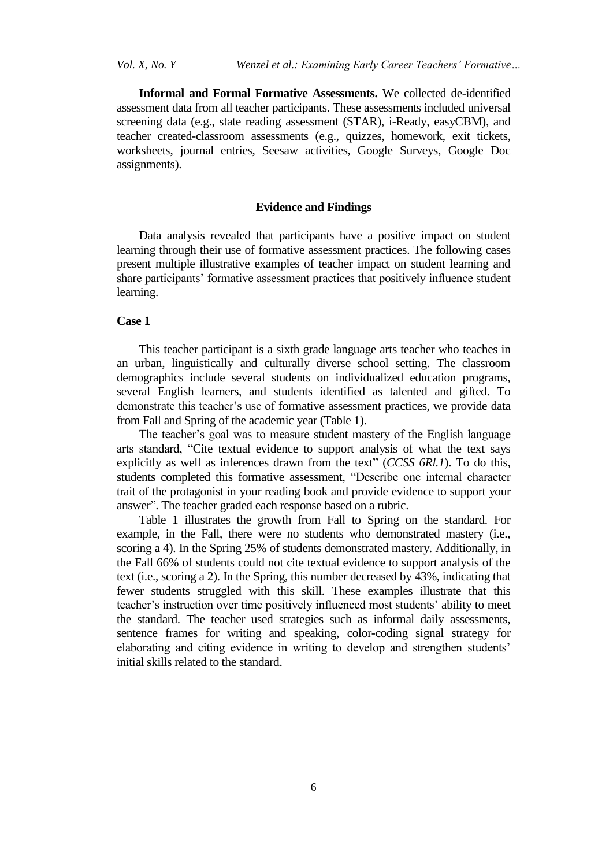**Informal and Formal Formative Assessments.** We collected de-identified assessment data from all teacher participants. These assessments included universal screening data (e.g., state reading assessment (STAR), i-Ready, easyCBM), and teacher created-classroom assessments (e.g., quizzes, homework, exit tickets, worksheets, journal entries, Seesaw activities, Google Surveys, Google Doc assignments).

# **Evidence and Findings**

Data analysis revealed that participants have a positive impact on student learning through their use of formative assessment practices. The following cases present multiple illustrative examples of teacher impact on student learning and share participants" formative assessment practices that positively influence student learning.

## **Case 1**

This teacher participant is a sixth grade language arts teacher who teaches in an urban, linguistically and culturally diverse school setting. The classroom demographics include several students on individualized education programs, several English learners, and students identified as talented and gifted. To demonstrate this teacher's use of formative assessment practices, we provide data from Fall and Spring of the academic year (Table 1).

The teacher's goal was to measure student mastery of the English language arts standard, "Cite textual evidence to support analysis of what the text says explicitly as well as inferences drawn from the text" (*CCSS 6Rl.1*). To do this, students completed this formative assessment, "Describe one internal character trait of the protagonist in your reading book and provide evidence to support your answer". The teacher graded each response based on a rubric.

Table 1 illustrates the growth from Fall to Spring on the standard. For example, in the Fall, there were no students who demonstrated mastery (i.e., scoring a 4). In the Spring 25% of students demonstrated mastery. Additionally, in the Fall 66% of students could not cite textual evidence to support analysis of the text (i.e., scoring a 2). In the Spring, this number decreased by 43%, indicating that fewer students struggled with this skill. These examples illustrate that this teacher"s instruction over time positively influenced most students" ability to meet the standard. The teacher used strategies such as informal daily assessments, sentence frames for writing and speaking, color-coding signal strategy for elaborating and citing evidence in writing to develop and strengthen students' initial skills related to the standard.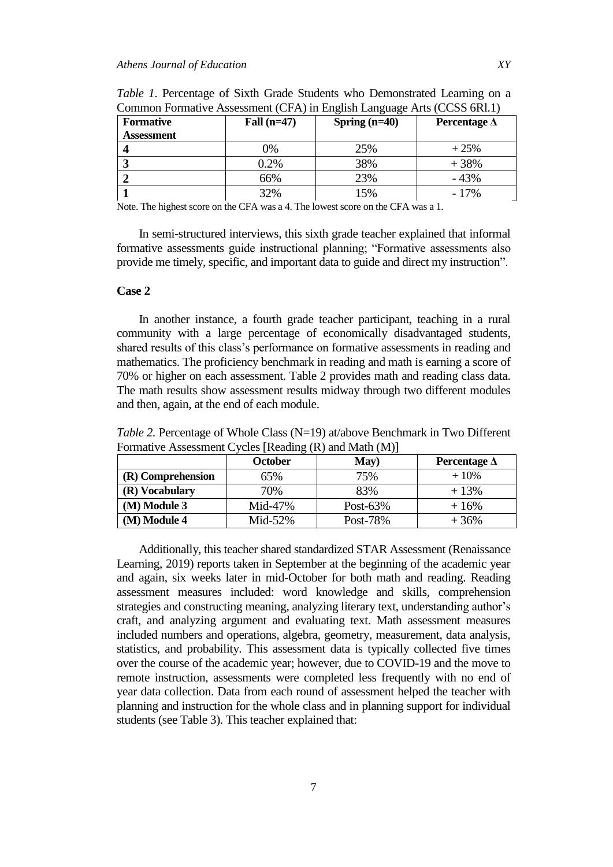| <b>Formative</b>  | Fall $(n=47)$ | Spring $(n=40)$ | Percentage $\Delta$ |
|-------------------|---------------|-----------------|---------------------|
| <b>Assessment</b> |               |                 |                     |
|                   | 0%            | 25%             | $+25%$              |
|                   | 0.2%          | 38%             | $+38%$              |
|                   | 66%           | 23%             | $-43%$              |
|                   | 32%           | 15%             | $-17\%$             |

*Table 1*. Percentage of Sixth Grade Students who Demonstrated Learning on a Common Formative Assessment  $(CFA)$  in English Language Arts (CCSS  $6P11$ )

Note. The highest score on the CFA was a 4. The lowest score on the CFA was a 1.

In semi-structured interviews, this sixth grade teacher explained that informal formative assessments guide instructional planning; "Formative assessments also provide me timely, specific, and important data to guide and direct my instruction".

# **Case 2**

In another instance, a fourth grade teacher participant, teaching in a rural community with a large percentage of economically disadvantaged students, shared results of this class"s performance on formative assessments in reading and mathematics. The proficiency benchmark in reading and math is earning a score of 70% or higher on each assessment. Table 2 provides math and reading class data. The math results show assessment results midway through two different modules and then, again, at the end of each module.

*Table 2.* Percentage of Whole Class (N=19) at/above Benchmark in Two Different Formative Assessment Cycles [Reading (R) and Math (M)]

|                   | ັັ<br>October | May)        | Percentage $\Delta$ |
|-------------------|---------------|-------------|---------------------|
| (R) Comprehension | 65%           | 75%         | $+10\%$             |
| (R) Vocabulary    | 70%           | 83%         | $+13%$              |
| (M) Module 3      | Mid-47%       | Post- $63%$ | $+16%$              |
| (M) Module 4      | Mid- $52%$    | Post-78%    | $+36%$              |

Additionally, this teacher shared standardized STAR Assessment (Renaissance Learning, 2019) reports taken in September at the beginning of the academic year and again, six weeks later in mid-October for both math and reading. Reading assessment measures included: word knowledge and skills, comprehension strategies and constructing meaning, analyzing literary text, understanding author"s craft, and analyzing argument and evaluating text. Math assessment measures included numbers and operations, algebra, geometry, measurement, data analysis, statistics, and probability. This assessment data is typically collected five times over the course of the academic year; however, due to COVID-19 and the move to remote instruction, assessments were completed less frequently with no end of year data collection. Data from each round of assessment helped the teacher with planning and instruction for the whole class and in planning support for individual students (see Table 3). This teacher explained that: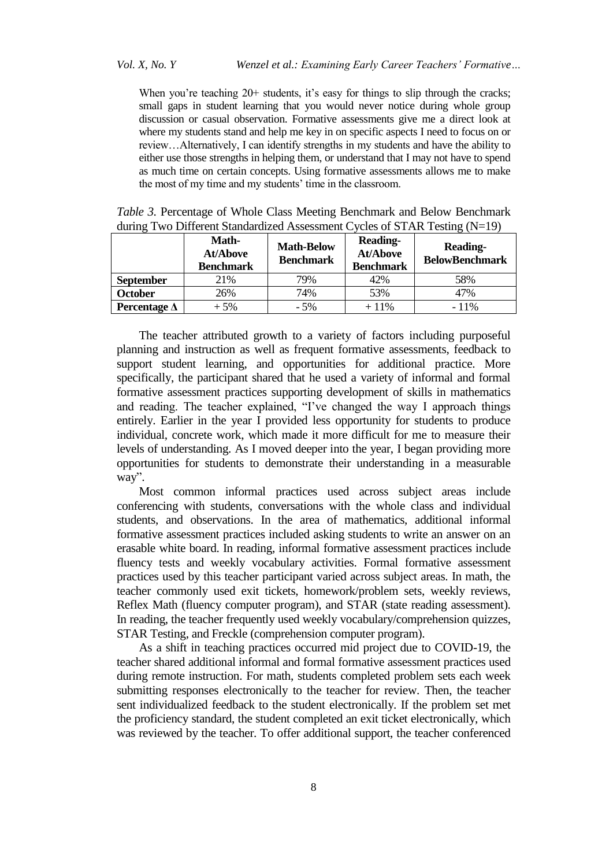When you're teaching  $20+$  students, it's easy for things to slip through the cracks; small gaps in student learning that you would never notice during whole group discussion or casual observation. Formative assessments give me a direct look at where my students stand and help me key in on specific aspects I need to focus on or review…Alternatively, I can identify strengths in my students and have the ability to either use those strengths in helping them, or understand that I may not have to spend as much time on certain concepts. Using formative assessments allows me to make the most of my time and my students' time in the classroom.

|                                                                                 | <b>Math-</b> | $M_{\odot}$ $\sim$ $\sim$ $\sim$ | <b>Reading-</b> | $D = 1! - 1!$ |
|---------------------------------------------------------------------------------|--------------|----------------------------------|-----------------|---------------|
| during Two Different Standardized Assessment Cycles of STAR Testing $(N=19)$    |              |                                  |                 |               |
| <i>Table 3.</i> Percentage of Whole Class Meeting Benchmark and Below Benchmark |              |                                  |                 |               |

|                     | Math-<br><b>At/Above</b><br><b>Benchmark</b> | <b>Math-Below</b><br><b>Benchmark</b> | <b>Reading-</b><br><b>At/Above</b><br><b>Benchmark</b> | <b>Reading-</b><br><b>BelowBenchmark</b> |
|---------------------|----------------------------------------------|---------------------------------------|--------------------------------------------------------|------------------------------------------|
| <b>September</b>    | 21\%                                         | 79%                                   | 42%                                                    | 58%                                      |
| <b>October</b>      | 26%                                          | 74%                                   | 53%                                                    | 47%                                      |
| Percentage $\Delta$ | $+5%$                                        | $-5%$                                 | $+11%$                                                 | $-11\%$                                  |

The teacher attributed growth to a variety of factors including purposeful planning and instruction as well as frequent formative assessments, feedback to support student learning, and opportunities for additional practice. More specifically, the participant shared that he used a variety of informal and formal formative assessment practices supporting development of skills in mathematics and reading. The teacher explained, "I"ve changed the way I approach things entirely. Earlier in the year I provided less opportunity for students to produce individual, concrete work, which made it more difficult for me to measure their levels of understanding. As I moved deeper into the year, I began providing more opportunities for students to demonstrate their understanding in a measurable way".

Most common informal practices used across subject areas include conferencing with students, conversations with the whole class and individual students, and observations. In the area of mathematics, additional informal formative assessment practices included asking students to write an answer on an erasable white board. In reading, informal formative assessment practices include fluency tests and weekly vocabulary activities. Formal formative assessment practices used by this teacher participant varied across subject areas. In math, the teacher commonly used exit tickets, homework/problem sets, weekly reviews, Reflex Math (fluency computer program), and STAR (state reading assessment). In reading, the teacher frequently used weekly vocabulary/comprehension quizzes, STAR Testing, and Freckle (comprehension computer program).

As a shift in teaching practices occurred mid project due to COVID-19, the teacher shared additional informal and formal formative assessment practices used during remote instruction. For math, students completed problem sets each week submitting responses electronically to the teacher for review. Then, the teacher sent individualized feedback to the student electronically. If the problem set met the proficiency standard, the student completed an exit ticket electronically, which was reviewed by the teacher. To offer additional support, the teacher conferenced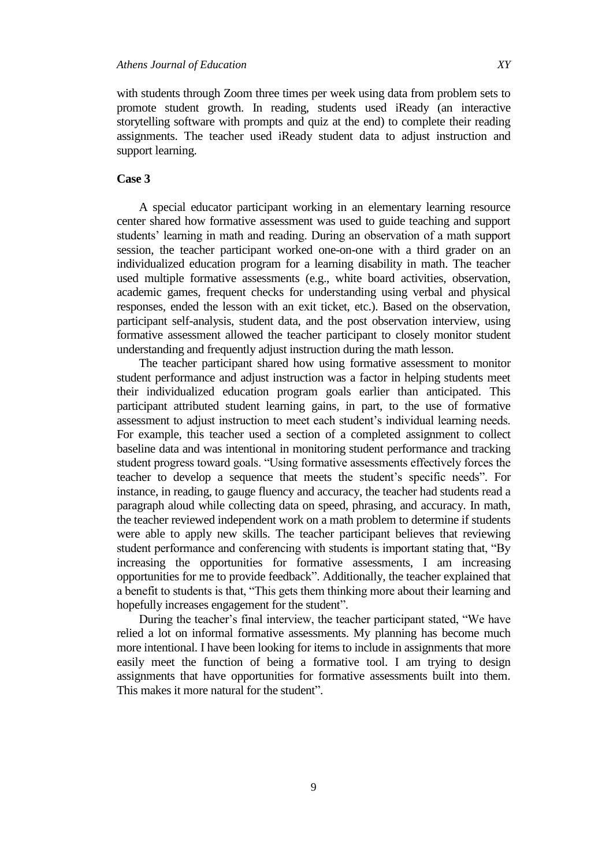with students through Zoom three times per week using data from problem sets to promote student growth. In reading, students used iReady (an interactive storytelling software with prompts and quiz at the end) to complete their reading assignments. The teacher used iReady student data to adjust instruction and support learning.

# **Case 3**

A special educator participant working in an elementary learning resource center shared how formative assessment was used to guide teaching and support students' learning in math and reading. During an observation of a math support session, the teacher participant worked one-on-one with a third grader on an individualized education program for a learning disability in math. The teacher used multiple formative assessments (e.g., white board activities, observation, academic games, frequent checks for understanding using verbal and physical responses, ended the lesson with an exit ticket, etc.). Based on the observation, participant self-analysis, student data, and the post observation interview, using formative assessment allowed the teacher participant to closely monitor student understanding and frequently adjust instruction during the math lesson.

The teacher participant shared how using formative assessment to monitor student performance and adjust instruction was a factor in helping students meet their individualized education program goals earlier than anticipated. This participant attributed student learning gains, in part, to the use of formative assessment to adjust instruction to meet each student"s individual learning needs. For example, this teacher used a section of a completed assignment to collect baseline data and was intentional in monitoring student performance and tracking student progress toward goals. "Using formative assessments effectively forces the teacher to develop a sequence that meets the student"s specific needs". For instance, in reading, to gauge fluency and accuracy, the teacher had students read a paragraph aloud while collecting data on speed, phrasing, and accuracy. In math, the teacher reviewed independent work on a math problem to determine if students were able to apply new skills. The teacher participant believes that reviewing student performance and conferencing with students is important stating that, "By increasing the opportunities for formative assessments, I am increasing opportunities for me to provide feedback". Additionally, the teacher explained that a benefit to students is that, "This gets them thinking more about their learning and hopefully increases engagement for the student".

During the teacher"s final interview, the teacher participant stated, "We have relied a lot on informal formative assessments. My planning has become much more intentional. I have been looking for items to include in assignments that more easily meet the function of being a formative tool. I am trying to design assignments that have opportunities for formative assessments built into them. This makes it more natural for the student".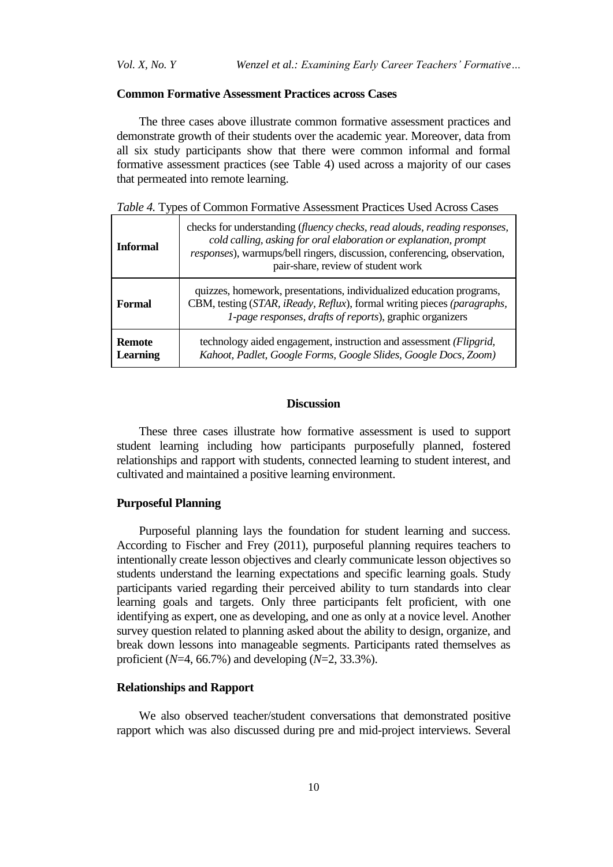*Vol. X, No. Y Wenzel et al.: Examining Early Career Teachers' Formative…*

# **Common Formative Assessment Practices across Cases**

The three cases above illustrate common formative assessment practices and demonstrate growth of their students over the academic year. Moreover, data from all six study participants show that there were common informal and formal formative assessment practices (see Table 4) used across a majority of our cases that permeated into remote learning.

*Table 4.* Types of Common Formative Assessment Practices Used Across Cases

| <b>Informal</b>                  | checks for understanding (fluency checks, read alouds, reading responses,<br>cold calling, asking for oral elaboration or explanation, prompt<br>responses), warmups/bell ringers, discussion, conferencing, observation,<br>pair-share, review of student work |
|----------------------------------|-----------------------------------------------------------------------------------------------------------------------------------------------------------------------------------------------------------------------------------------------------------------|
| Formal                           | quizzes, homework, presentations, individualized education programs,<br>CBM, testing (STAR, iReady, Reflux), formal writing pieces (paragraphs,<br>1-page responses, drafts of reports), graphic organizers                                                     |
| <b>Remote</b><br><b>Learning</b> | technology aided engagement, instruction and assessment (Flipgrid,<br>Kahoot, Padlet, Google Forms, Google Slides, Google Docs, Zoom)                                                                                                                           |

# **Discussion**

These three cases illustrate how formative assessment is used to support student learning including how participants purposefully planned, fostered relationships and rapport with students, connected learning to student interest, and cultivated and maintained a positive learning environment.

# **Purposeful Planning**

Purposeful planning lays the foundation for student learning and success. According to Fischer and Frey (2011), purposeful planning requires teachers to intentionally create lesson objectives and clearly communicate lesson objectives so students understand the learning expectations and specific learning goals. Study participants varied regarding their perceived ability to turn standards into clear learning goals and targets. Only three participants felt proficient, with one identifying as expert, one as developing, and one as only at a novice level. Another survey question related to planning asked about the ability to design, organize, and break down lessons into manageable segments. Participants rated themselves as proficient (*N*=4, 66.7%) and developing (*N*=2, 33.3%).

### **Relationships and Rapport**

We also observed teacher/student conversations that demonstrated positive rapport which was also discussed during pre and mid-project interviews. Several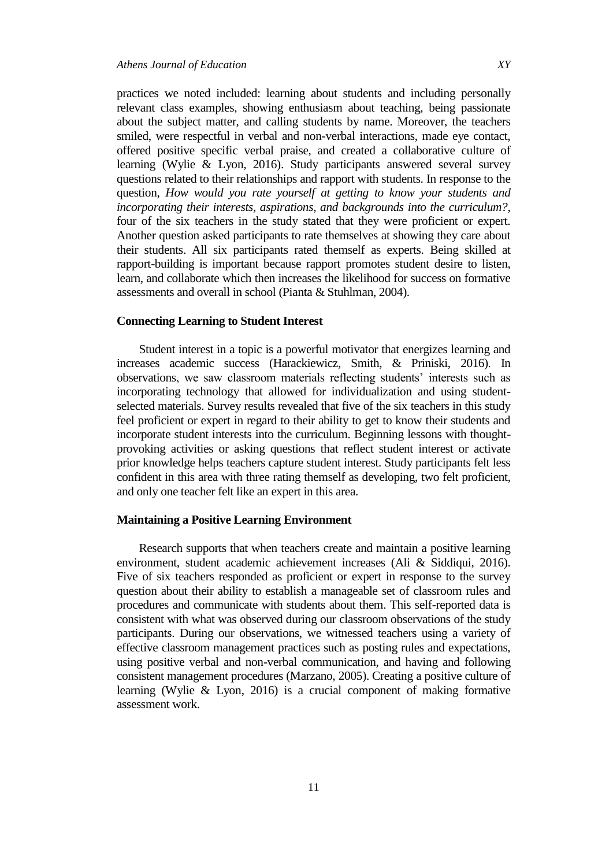practices we noted included: learning about students and including personally relevant class examples, showing enthusiasm about teaching, being passionate about the subject matter, and calling students by name. Moreover, the teachers smiled, were respectful in verbal and non-verbal interactions, made eye contact, offered positive specific verbal praise, and created a collaborative culture of learning (Wylie & Lyon, 2016). Study participants answered several survey questions related to their relationships and rapport with students. In response to the question, *How would you rate yourself at getting to know your students and incorporating their interests, aspirations, and backgrounds into the curriculum?,*  four of the six teachers in the study stated that they were proficient or expert. Another question asked participants to rate themselves at showing they care about their students. All six participants rated themself as experts. Being skilled at rapport-building is important because rapport promotes student desire to listen, learn, and collaborate which then increases the likelihood for success on formative assessments and overall in school (Pianta & Stuhlman, 2004).

## **Connecting Learning to Student Interest**

Student interest in a topic is a powerful motivator that energizes learning and increases academic success (Harackiewicz, Smith, & Priniski, 2016). In observations, we saw classroom materials reflecting students" interests such as incorporating technology that allowed for individualization and using studentselected materials. Survey results revealed that five of the six teachers in this study feel proficient or expert in regard to their ability to get to know their students and incorporate student interests into the curriculum. Beginning lessons with thoughtprovoking activities or asking questions that reflect student interest or activate prior knowledge helps teachers capture student interest. Study participants felt less confident in this area with three rating themself as developing, two felt proficient, and only one teacher felt like an expert in this area.

#### **Maintaining a Positive Learning Environment**

Research supports that when teachers create and maintain a positive learning environment, student academic achievement increases (Ali & Siddiqui, 2016). Five of six teachers responded as proficient or expert in response to the survey question about their ability to establish a manageable set of classroom rules and procedures and communicate with students about them. This self-reported data is consistent with what was observed during our classroom observations of the study participants. During our observations, we witnessed teachers using a variety of effective classroom management practices such as posting rules and expectations, using positive verbal and non-verbal communication, and having and following consistent management procedures (Marzano, 2005). Creating a positive culture of learning (Wylie & Lyon, 2016) is a crucial component of making formative assessment work.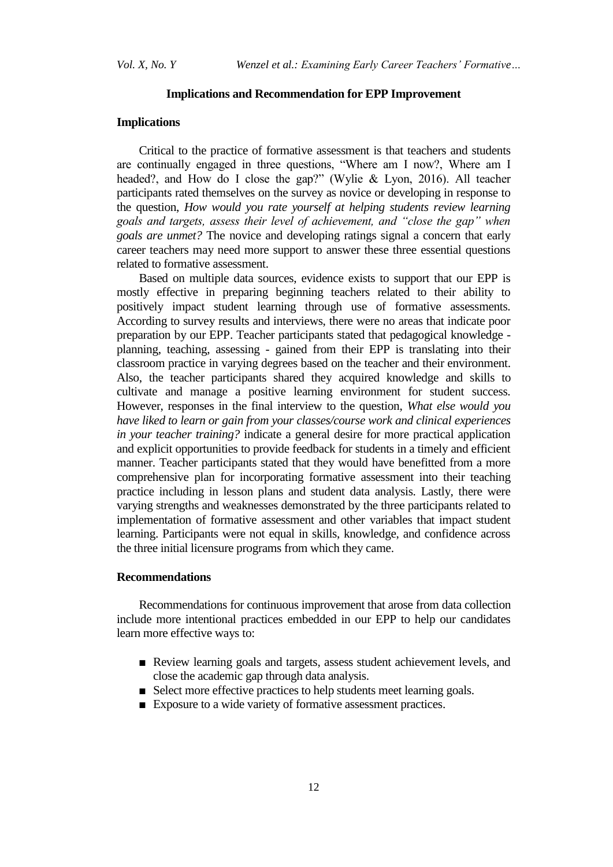## **Implications and Recommendation for EPP Improvement**

# **Implications**

Critical to the practice of formative assessment is that teachers and students are continually engaged in three questions, "Where am I now?, Where am I headed?, and How do I close the gap?" (Wylie & Lyon, 2016). All teacher participants rated themselves on the survey as novice or developing in response to the question, *How would you rate yourself at helping students review learning goals and targets, assess their level of achievement, and "close the gap" when goals are unmet?* The novice and developing ratings signal a concern that early career teachers may need more support to answer these three essential questions related to formative assessment.

Based on multiple data sources, evidence exists to support that our EPP is mostly effective in preparing beginning teachers related to their ability to positively impact student learning through use of formative assessments. According to survey results and interviews, there were no areas that indicate poor preparation by our EPP. Teacher participants stated that pedagogical knowledge planning, teaching, assessing - gained from their EPP is translating into their classroom practice in varying degrees based on the teacher and their environment. Also, the teacher participants shared they acquired knowledge and skills to cultivate and manage a positive learning environment for student success. However, responses in the final interview to the question, *What else would you have liked to learn or gain from your classes/course work and clinical experiences in your teacher training?* indicate a general desire for more practical application and explicit opportunities to provide feedback for students in a timely and efficient manner. Teacher participants stated that they would have benefitted from a more comprehensive plan for incorporating formative assessment into their teaching practice including in lesson plans and student data analysis. Lastly, there were varying strengths and weaknesses demonstrated by the three participants related to implementation of formative assessment and other variables that impact student learning. Participants were not equal in skills, knowledge, and confidence across the three initial licensure programs from which they came.

# **Recommendations**

Recommendations for continuous improvement that arose from data collection include more intentional practices embedded in our EPP to help our candidates learn more effective ways to:

- Review learning goals and targets, assess student achievement levels, and close the academic gap through data analysis.
- Select more effective practices to help students meet learning goals.
- Exposure to a wide variety of formative assessment practices.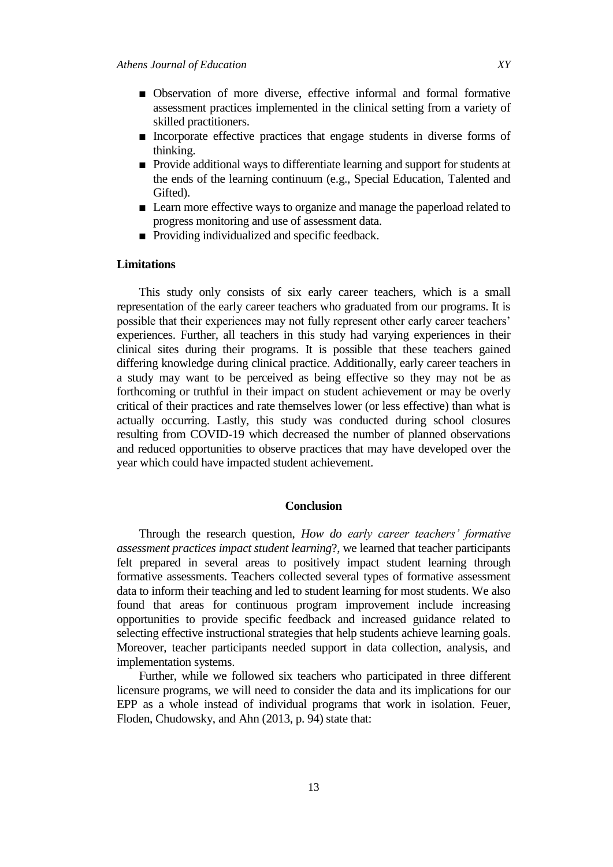- Observation of more diverse, effective informal and formal formative assessment practices implemented in the clinical setting from a variety of skilled practitioners.
- Incorporate effective practices that engage students in diverse forms of thinking.
- Provide additional ways to differentiate learning and support for students at the ends of the learning continuum (e.g., Special Education, Talented and Gifted).
- Learn more effective ways to organize and manage the paperload related to progress monitoring and use of assessment data.
- Providing individualized and specific feedback.

# **Limitations**

This study only consists of six early career teachers, which is a small representation of the early career teachers who graduated from our programs. It is possible that their experiences may not fully represent other early career teachers' experiences. Further, all teachers in this study had varying experiences in their clinical sites during their programs. It is possible that these teachers gained differing knowledge during clinical practice. Additionally, early career teachers in a study may want to be perceived as being effective so they may not be as forthcoming or truthful in their impact on student achievement or may be overly critical of their practices and rate themselves lower (or less effective) than what is actually occurring. Lastly, this study was conducted during school closures resulting from COVID-19 which decreased the number of planned observations and reduced opportunities to observe practices that may have developed over the year which could have impacted student achievement.

## **Conclusion**

Through the research question, *How do early career teachers' formative assessment practices impact student learning*?, we learned that teacher participants felt prepared in several areas to positively impact student learning through formative assessments. Teachers collected several types of formative assessment data to inform their teaching and led to student learning for most students. We also found that areas for continuous program improvement include increasing opportunities to provide specific feedback and increased guidance related to selecting effective instructional strategies that help students achieve learning goals. Moreover, teacher participants needed support in data collection, analysis, and implementation systems.

Further, while we followed six teachers who participated in three different licensure programs, we will need to consider the data and its implications for our EPP as a whole instead of individual programs that work in isolation. Feuer, Floden, Chudowsky, and Ahn (2013, p. 94) state that: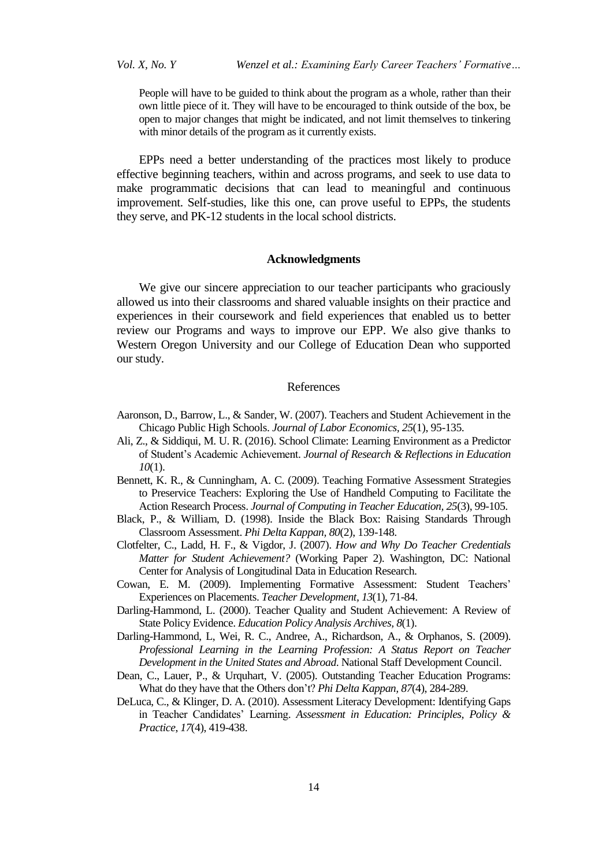People will have to be guided to think about the program as a whole, rather than their own little piece of it. They will have to be encouraged to think outside of the box, be open to major changes that might be indicated, and not limit themselves to tinkering with minor details of the program as it currently exists.

EPPs need a better understanding of the practices most likely to produce effective beginning teachers, within and across programs, and seek to use data to make programmatic decisions that can lead to meaningful and continuous improvement. Self-studies, like this one, can prove useful to EPPs, the students they serve, and PK-12 students in the local school districts.

#### **Acknowledgments**

We give our sincere appreciation to our teacher participants who graciously allowed us into their classrooms and shared valuable insights on their practice and experiences in their coursework and field experiences that enabled us to better review our Programs and ways to improve our EPP. We also give thanks to Western Oregon University and our College of Education Dean who supported our study.

## References

- Aaronson, D., Barrow, L., & Sander, W. (2007). Teachers and Student Achievement in the Chicago Public High Schools. *Journal of Labor Economics, 25*(1), 95-135.
- Ali, Z., & Siddiqui, M. U. R. (2016). School Climate: Learning Environment as a Predictor of Student"s Academic Achievement. *Journal of Research & Reflections in Education 10*(1).
- Bennett, K. R., & Cunningham, A. C. (2009). Teaching Formative Assessment Strategies to Preservice Teachers: Exploring the Use of Handheld Computing to Facilitate the Action Research Process. *Journal of Computing in Teacher Education, 25*(3), 99-105.
- Black, P., & William, D. (1998). Inside the Black Box: Raising Standards Through Classroom Assessment. *Phi Delta Kappan, 80*(2), 139-148.
- Clotfelter, C., Ladd, H. F., & Vigdor, J. (2007). *How and Why Do Teacher Credentials Matter for Student Achievement?* (Working Paper 2). Washington, DC: National Center for Analysis of Longitudinal Data in Education Research.
- Cowan, E. M. (2009). Implementing Formative Assessment: Student Teachers" Experiences on Placements. *Teacher Development, 13*(1), 71-84.
- Darling-Hammond, L. (2000). Teacher Quality and Student Achievement: A Review of State Policy Evidence. *Education Policy Analysis Archives, 8*(1).
- Darling-Hammond, L, Wei, R. C., Andree, A., Richardson, A., & Orphanos, S. (2009). *Professional Learning in the Learning Profession: A Status Report on Teacher Development in the United States and Abroad*. National Staff Development Council.
- Dean, C., Lauer, P., & Urquhart, V. (2005). Outstanding Teacher Education Programs: What do they have that the Others don"t? *Phi Delta Kappan, 87*(4), 284-289.
- DeLuca, C., & Klinger, D. A. (2010). Assessment Literacy Development: Identifying Gaps in Teacher Candidates" Learning. *Assessment in Education: Principles, Policy & Practice*, *17*(4), 419-438.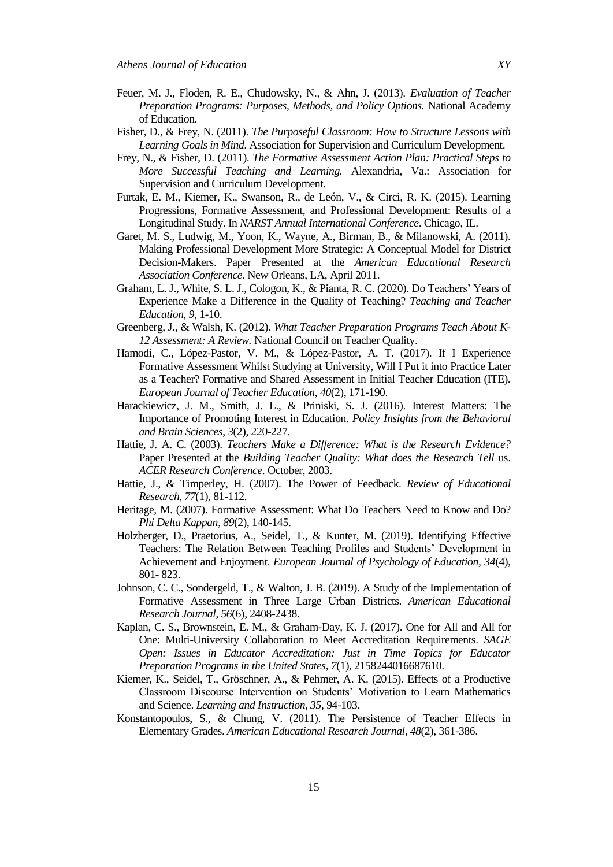- Feuer, M. J., Floden, R. E., Chudowsky, N., & Ahn, J. (2013). *Evaluation of Teacher Preparation Programs: Purposes, Methods, and Policy Options.* National Academy of Education.
- Fisher, D., & Frey, N. (2011). *The Purposeful Classroom: How to Structure Lessons with Learning Goals in Mind*. Association for Supervision and Curriculum Development.
- Frey, N., & Fisher, D. (2011). *The Formative Assessment Action Plan: Practical Steps to More Successful Teaching and Learning.* Alexandria, Va.: Association for Supervision and Curriculum Development.
- Furtak, E. M., Kiemer, K., Swanson, R., de León, V., & Circi, R. K. (2015). Learning Progressions, Formative Assessment, and Professional Development: Results of a Longitudinal Study. In *NARST Annual International Conference*. Chicago, IL.
- Garet, M. S., Ludwig, M., Yoon, K., Wayne, A., Birman, B., & Milanowski, A. (2011). Making Professional Development More Strategic: A Conceptual Model for District Decision-Makers. Paper Presented at the *American Educational Research Association Conference*. New Orleans, LA, April 2011.
- Graham, L. J., White, S. L. J., Cologon, K., & Pianta, R. C. (2020). Do Teachers" Years of Experience Make a Difference in the Quality of Teaching? *Teaching and Teacher Education, 9*, 1-10.
- Greenberg, J., & Walsh, K. (2012). *What Teacher Preparation Programs Teach About K-12 Assessment: A Review.* National Council on Teacher Quality.
- Hamodi, C., López-Pastor, V. M., & López-Pastor, A. T. (2017). If I Experience Formative Assessment Whilst Studying at University, Will I Put it into Practice Later as a Teacher? Formative and Shared Assessment in Initial Teacher Education (ITE). *European Journal of Teacher Education*, *40*(2), 171-190.
- Harackiewicz, J. M., Smith, J. L., & Priniski, S. J. (2016). Interest Matters: The Importance of Promoting Interest in Education. *Policy Insights from the Behavioral and Brain Sciences*, *3*(2), 220-227.
- Hattie, J. A. C. (2003). *Teachers Make a Difference: What is the Research Evidence?* Paper Presented at the *Building Teacher Quality: What does the Research Tell* us. *ACER Research Conference*. October, 2003.
- Hattie, J., & Timperley, H. (2007). The Power of Feedback. *Review of Educational Research*, *77*(1), 81-112.
- Heritage, M. (2007). Formative Assessment: What Do Teachers Need to Know and Do? *Phi Delta Kappan*, *89*(2), 140-145.
- Holzberger, D., Praetorius, A., Seidel, T., & Kunter, M. (2019). Identifying Effective Teachers: The Relation Between Teaching Profiles and Students" Development in Achievement and Enjoyment. *European Journal of Psychology of Education, 34*(4), 801- 823.
- Johnson, C. C., Sondergeld, T., & Walton, J. B. (2019). A Study of the Implementation of Formative Assessment in Three Large Urban Districts. *American Educational Research Journal*, *56*(6), 2408-2438.
- Kaplan, C. S., Brownstein, E. M., & Graham-Day, K. J. (2017). One for All and All for One: Multi-University Collaboration to Meet Accreditation Requirements. *SAGE Open: Issues in Educator Accreditation: Just in Time Topics for Educator Preparation Programs in the United States*, *7*(1), 2158244016687610.
- Kiemer, K., Seidel, T., Gröschner, A., & Pehmer, A. K. (2015). Effects of a Productive Classroom Discourse Intervention on Students" Motivation to Learn Mathematics and Science. *Learning and Instruction, 35*, 94-103.
- Konstantopoulos, S., & Chung, V. (2011). The Persistence of Teacher Effects in Elementary Grades. *American Educational Research Journal, 48*(2), 361-386.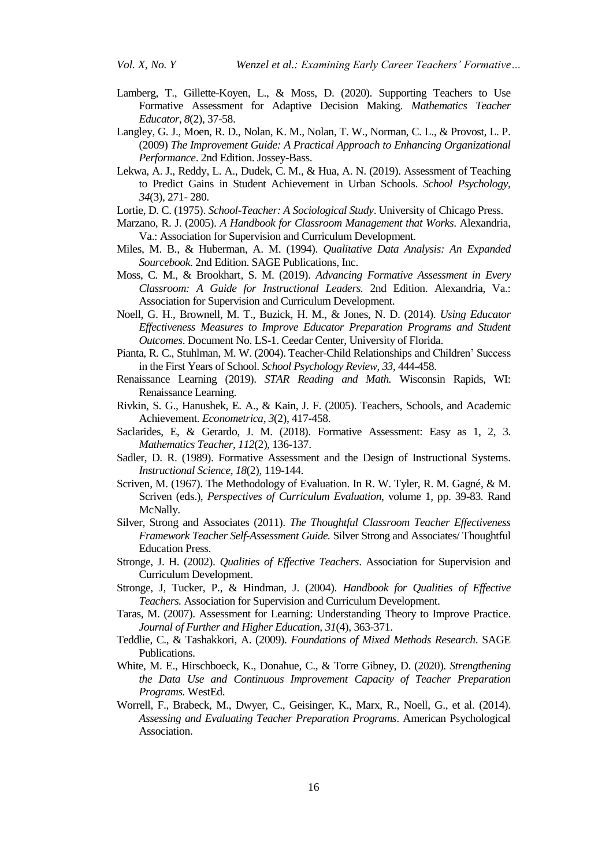- Lamberg, T., Gillette-Koyen, L., & Moss, D. (2020). Supporting Teachers to Use Formative Assessment for Adaptive Decision Making. *Mathematics Teacher Educator, 8*(2), 37-58.
- Langley, G. J., Moen, R. D., Nolan, K. M., Nolan, T. W., Norman, C. L., & Provost, L. P. (2009) *The Improvement Guide: A Practical Approach to Enhancing Organizational Performance*. 2nd Edition. Jossey-Bass.
- Lekwa, A. J., Reddy, L. A., Dudek, C. M., & Hua, A. N. (2019). Assessment of Teaching to Predict Gains in Student Achievement in Urban Schools. *School Psychology, 34*(3), 271- 280.
- Lortie, D. C. (1975). *School-Teacher: A Sociological Study*. University of Chicago Press.
- Marzano, R. J. (2005). *A Handbook for Classroom Management that Works*. Alexandria, Va.: Association for Supervision and Curriculum Development.
- Miles, M. B., & Huberman, A. M. (1994). *Qualitative Data Analysis: An Expanded Sourcebook*. 2nd Edition. SAGE Publications, Inc.
- Moss, C. M., & Brookhart, S. M. (2019). *Advancing Formative Assessment in Every Classroom: A Guide for Instructional Leaders.* 2nd Edition. Alexandria, Va.: Association for Supervision and Curriculum Development.
- Noell, G. H., Brownell, M. T., Buzick, H. M., & Jones, N. D. (2014). *Using Educator Effectiveness Measures to Improve Educator Preparation Programs and Student Outcomes*. Document No. LS-1. Ceedar Center, University of Florida.
- Pianta, R. C., Stuhlman, M. W. (2004). Teacher-Child Relationships and Children" Success in the First Years of School. *School Psychology Review*, *33*, 444-458.
- Renaissance Learning (2019). *STAR Reading and Math.* Wisconsin Rapids, WI: Renaissance Learning.
- Rivkin, S. G., Hanushek, E. A., & Kain, J. F. (2005). Teachers, Schools, and Academic Achievement. *Econometrica, 3*(2), 417-458.
- Saclarides, E, & Gerardo, J. M. (2018). Formative Assessment: Easy as 1, 2, 3. *Mathematics Teacher, 112*(2), 136-137.
- Sadler, D. R. (1989). Formative Assessment and the Design of Instructional Systems. *Instructional Science, 18*(2), 119-144.
- Scriven, M. (1967). The Methodology of Evaluation. In R. W. Tyler, R. M. Gagné, & M. Scriven (eds.), *Perspectives of Curriculum Evaluation*, volume 1, pp. 39-83. Rand McNally.
- Silver, Strong and Associates (2011). *The Thoughtful Classroom Teacher Effectiveness Framework Teacher Self-Assessment Guide.* Silver Strong and Associates/ Thoughtful Education Press.
- Stronge, J. H. (2002). *Qualities of Effective Teachers*. Association for Supervision and Curriculum Development.
- Stronge, J, Tucker, P., & Hindman, J. (2004). *Handbook for Qualities of Effective Teachers.* Association for Supervision and Curriculum Development.
- Taras, M. (2007). Assessment for Learning: Understanding Theory to Improve Practice. *Journal of Further and Higher Education, 31*(4), 363-371.
- Teddlie, C., & Tashakkori, A. (2009). *Foundations of Mixed Methods Research*. SAGE Publications.
- White, M. E., Hirschboeck, K., Donahue, C., & Torre Gibney, D. (2020). *Strengthening the Data Use and Continuous Improvement Capacity of Teacher Preparation Programs.* WestEd.
- Worrell, F., Brabeck, M., Dwyer, C., Geisinger, K., Marx, R., Noell, G., et al. (2014). *Assessing and Evaluating Teacher Preparation Programs*. American Psychological Association.